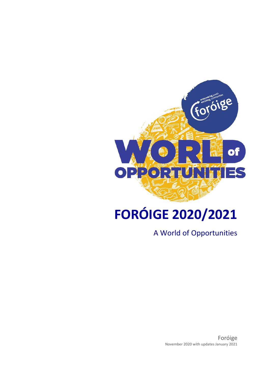

# **FORÓIGE 2020/2021**

A World of Opportunities

Foróige November 2020 with updates January 2021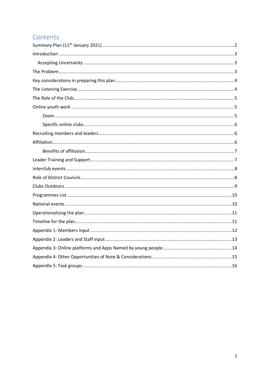### Contents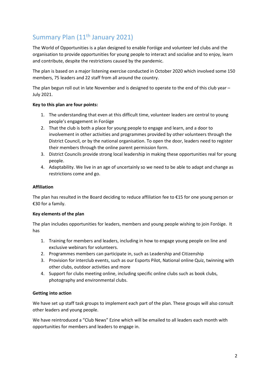# <span id="page-2-0"></span>Summary Plan (11th January 2021)

The World of Opportunities is a plan designed to enable Foróige and volunteer led clubs and the organisation to provide opportunities for young people to interact and socialise and to enjoy, learn and contribute, despite the restrictions caused by the pandemic.

The plan is based on a major listening exercise conducted in October 2020 which involved some 150 members, 75 leaders and 22 staff from all around the country.

The plan begun roll out in late November and is designed to operate to the end of this club year – July 2021.

### **Key to this plan are four points:**

- 1. The understanding that even at this difficult time, volunteer leaders are central to young people's engagement in Foróige
- 2. That the club is both a place for young people to engage and learn, and a door to involvement in other activities and programmes provided by other volunteers through the District Council, or by the national organisation. To open the door, leaders need to register their members through the online parent permission form.
- 3. District Councils provide strong local leadership in making these opportunities real for young people.
- 4. Adaptability. We live in an age of uncertainly so we need to be able to adapt and change as restrictions come and go.

### **Affiliation**

The plan has resulted in the Board deciding to reduce affiliation fee to €15 for one young person or €30 for a family.

#### **Key elements of the plan**

The plan includes opportunities for leaders, members and young people wishing to join Foróige. It has

- 1. Training for members and leaders, including in how to engage young people on line and exclusive webinars for volunteers.
- 2. Programmes members can participate in, such as Leadership and Citizenship
- 3. Provision for interclub events, such as our Esports Pilot, National online Quiz, twinning with other clubs, outdoor activities and more
- 4. Support for clubs meeting online, including specific online clubs such as book clubs, photography and environmental clubs.

### **Getting into action**

We have set up staff task groups to implement each part of the plan. These groups will also consult other leaders and young people.

We have reintroduced a "Club News" Ezine which will be emailed to all leaders each month with opportunities for members and leaders to engage in.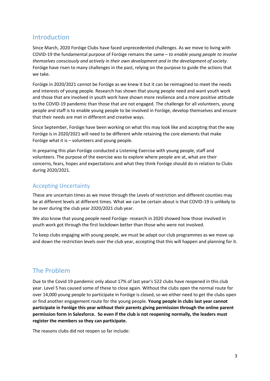### <span id="page-3-0"></span>Introduction

Since March, 2020 Foróige Clubs have faced unprecedented challenges. As we move to living with COVID-19 the fundamental purpose of Foróige remains the same – *to enable young people to involve themselves consciously and actively in their own development and in the development of society*. Foróige have risen to many challenges in the past, relying on the purpose to guide the actions that we take.

Foróige in 2020/2021 cannot be Foróige as we knew it but it can be reimagined to meet the needs and interests of young people. Research has shown that young people need and want youth work and those that are involved in youth work have shown more resilience and a more positive attitude to the COVID-19 pandemic than those that are not engaged. The challenge for all volunteers, young people and staff is to enable young people to be involved in Foróige, develop themselves and ensure that their needs are met in different and creative ways.

Since September, Foróige have been working on what this may look like and accepting that the way Foróige is in 2020/2021 will need to be different while retaining the core elements that make Foróige what it is – volunteers and young people.

In preparing this plan Foróige conducted a Listening Exercise with young people, staff and volunteers. The purpose of the exercise was to explore where people are at, what are their concerns, fears, hopes and expectations and what they think Foróige should do in relation to Clubs during 2020/2021.

### <span id="page-3-1"></span>Accepting Uncertainty

These are uncertain times as we move through the Levels of restriction and different counties may be at different levels at different times. What we can be certain about is that COVID-19 is unlikely to be over during the club year 2020/2021 club year.

We also know that young people need Foróige- research in 2020 showed how those involved in youth work got through the first lockdown better than those who were not involved.

To keep clubs engaging with young people, we must be adapt our club programmes as we move up and down the restriction levels over the club year, accepting that this will happen and planning for it.

### <span id="page-3-2"></span>The Problem

Due to the Covid 19 pandemic only about 17% of last year's 522 clubs have reopened in this club year. Level 5 has caused some of these to close again. Without the clubs open the normal route for over 14,000 young people to participate in Foróige is closed, so we either need to get the clubs open or find another engagement route for the young people. **Young people in clubs last year cannot participate in Foróige this year without their parents giving permission through the online parent permission form in Salesforce. So even if the club is not reopening normally, the leaders must register the members so they can participate.**

The reasons clubs did not reopen so far include: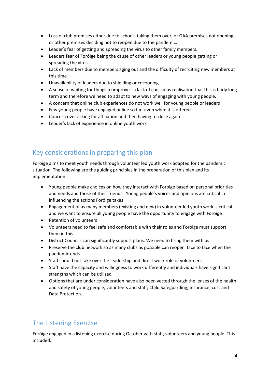- Loss of club premises either due to schools taking them over, or GAA premises not opening, or other premises deciding not to reopen due to the pandemic.
- Leader's fear of getting and spreading the virus to other family members.
- Leaders fear of Foróige being the cause of other leaders or young people getting or spreading the virus.
- Lack of members due to members aging out and the difficulty of recruiting new members at this time
- Unavailability of leaders due to shielding or cocooning
- A sense of waiting for things to improve- a lack of conscious realisation that this is fairly long term and therefore we need to adapt to new ways of engaging with young people.
- A concern that online club experiences do not work well for young people or leaders
- Few young people have engaged online so far- even when it is offered
- Concern over asking for affiliation and then having to close again
- Leader's lack of experience in online youth work

# <span id="page-4-0"></span>Key considerations in preparing this plan

Foróige aims to meet youth needs through volunteer led youth work adapted for the pandemic situation. The following are the guiding principles in the preparation of this plan and its implementation:

- Young people make choices on how they interact with Foróige based on personal priorities and needs and those of their friends. Young people's voices and opinions are critical in influencing the actions Foróige takes
- Engagement of as many members (existing and new) in volunteer led youth work is critical and we want to ensure all young people have the opportunity to engage with Foróige
- Retention of volunteers
- Volunteers need to feel safe and comfortable with their roles and Foróige must support them in this
- District Councils can significantly support plans. We need to bring them with us.
- Preserve the club network so as many clubs as possible can reopen face to face when the pandemic ends
- Staff should not take over the leadership and direct work role of volunteers
- Staff have the capacity and willingness to work differently and individuals have significant strengths which can be utilised
- Options that are under consideration have also been vetted through the lenses of the health and safety of young people, volunteers and staff; Child Safeguarding; insurance; cost and Data Protection.

# <span id="page-4-1"></span>The Listening Exercise

Foróige engaged in a listening exercise during October with staff, volunteers and young people. This included: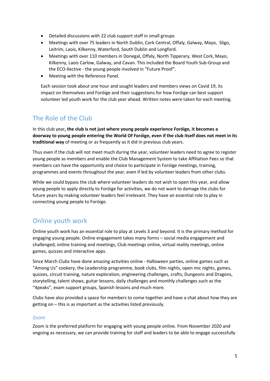- Detailed discussions with 22 club support staff in small groups
- Meetings with over 75 leaders in North Dublin, Cork Central, Offaly, Galway, Mayo, Sligo, Leitrim, Laois, Kilkenny, Waterford, South Dublin and Longford.
- Meetings with over 110 members in Donegal, Offaly, North Tipperary, West Cork, Mayo, Kilkenny, Laois Carlow, Galway, and Cavan. This included the Board Youth Sub-Group and the ECO-llective - the young people involved in "Future Proof".
- Meeting with the Reference Panel.

Each session took about one hour and sought leaders and members views on Covid 19, its impact on themselves and Foróige and their suggestions for how Foróige can best support volunteer led youth work for the club year ahead. Written notes were taken for each meeting.

### <span id="page-5-0"></span>The Role of the Club

In this club year**, the club is not just where young people experience Foróige, it becomes a doorway to young people entering the World Of Foróige, even if the club itself does not meet in its traditional way** of meeting or as frequently as it did in previous club years.

Thus even if the club will not meet much during the year, volunteer leaders need to agree to register young people as members and enable the Club Management System to take Affiliation Fees so that members can have the opportunity and choice to participate in Foróige meetings, training, programmes and events throughout the year, even if led by volunteer leaders from other clubs.

While we could bypass the club where volunteer leaders do not wish to open this year, and allow young people to apply directly to Foróige for activities, we do not want to damage the clubs for future years by making volunteer leaders feel irrelevant. They have an essential role to play in connecting young people to Foróige.

### <span id="page-5-1"></span>Online youth work

Online youth work has an essential role to play at Levels 3 and beyond. It is the primary method for engaging young people. Online engagement takes many forms – social media engagement and challenged, online training and meetings, Club meetings online, virtual reality meetings, online games, quizzes and interactive apps.

Since March Clubs have done amazing activities online - Halloween parties, online games such as "Among Us" cookery, the Leadership programme, book clubs, film nights, open mic nights, games, quizzes, circuit training, nature exploration, engineering challenges, crafts, Dungeons and Dragons, storytelling, talent shows, guitar lessons, daily challenges and monthly challenges such as the "4peaks", exam support groups, Spanish lessons and much more.

Clubs have also provided a space for members to come together and have a chat about how they are getting on – this is as important as the activities listed previously.

### <span id="page-5-2"></span>Zoom

Zoom is the preferred platform for engaging with young people online. From November 2020 and ongoing as necessary, we can provide training for staff and leaders to be able to engage successfully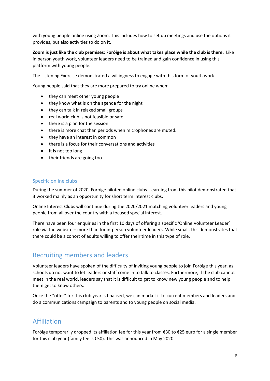with young people online using Zoom. This includes how to set up meetings and use the options it provides, but also activities to do on it.

**Zoom is just like the club premises: Foróige is about what takes place while the club is there.** Like in person youth work, volunteer leaders need to be trained and gain confidence in using this platform with young people.

The Listening Exercise demonstrated a willingness to engage with this form of youth work.

Young people said that they are more prepared to try online when:

- they can meet other young people
- they know what is on the agenda for the night
- they can talk in relaxed small groups
- real world club is not feasible or safe
- there is a plan for the session
- there is more chat than periods when microphones are muted.
- they have an interest in common
- there is a focus for their conversations and activities
- it is not too long
- their friends are going too

### <span id="page-6-0"></span>Specific online clubs

During the summer of 2020, Foróige piloted online clubs. Learning from this pilot demonstrated that it worked mainly as an opportunity for short term interest clubs.

Online Interest Clubs will continue during the 2020/2021 matching volunteer leaders and young people from all over the country with a focused special interest.

There have been four enquiries in the first 10 days of offering a specific 'Online Volunteer Leader' role via the website – more than for in-person volunteer leaders. While small, this demonstrates that there could be a cohort of adults willing to offer their time in this type of role.

### <span id="page-6-1"></span>Recruiting members and leaders

Volunteer leaders have spoken of the difficulty of inviting young people to join Foróige this year, as schools do not want to let leaders or staff come in to talk to classes. Furthermore, if the club cannot meet in the real world, leaders say that it is difficult to get to know new young people and to help them get to know others.

Once the "offer" for this club year is finalised, we can market it to current members and leaders and do a communications campaign to parents and to young people on social media.

### <span id="page-6-2"></span>Affiliation

Foróige temporarily dropped its affiliation fee for this year from €30 to €25 euro for a single member for this club year (family fee is €50). This was announced in May 2020.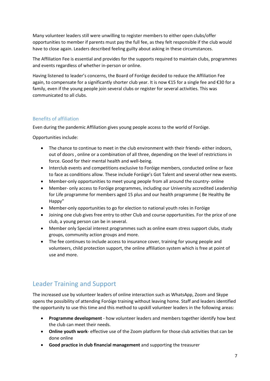Many volunteer leaders still were unwilling to register members to either open clubs/offer opportunities to member if parents must pay the full fee, as they felt responsible if the club would have to close again. Leaders described feeling guilty about asking in these circumstances.

The Affiliation Fee is essential and provides for the supports required to maintain clubs, programmes and events regardless of whether in-person or online.

Having listened to leader's concerns, the Board of Foróige decided to reduce the Affiliation Fee again, to compensate for a significantly shorter club year. It is now €15 for a single fee and €30 for a family, even if the young people join several clubs or register for several activities. This was communicated to all clubs.

### <span id="page-7-0"></span>Benefits of affiliation

Even during the pandemic Affiliation gives young people access to the world of Foróige.

Opportunities include:

- The chance to continue to meet in the club environment with their friends- either indoors, out of doors , online or a combination of all three, depending on the level of restrictions in force. Good for their mental health and well-being.
- Interclub events and competitions exclusive to Foróige members, conducted online or face to face as conditions allow. These include Foróige's Got Talent and several other new events.
- Member-only opportunities to meet young people from all around the country- online
- Member- only access to Foróige programmes, including our University accredited Leadership for Life programme for members aged 15 plus and our health programme ( Be Healthy Be Happy"
- Member-only opportunities to go for election to national youth roles in Foróige
- Joining one club gives free entry to other Club and course opportunities. For the price of one club, a young person can be in several.
- Member only Special interest programmes such as online exam stress support clubs, study groups, community action groups and more.
- The fee continues to include access to insurance cover, training for young people and volunteers, child protection support, the online affiliation system which is free at point of use and more.

# <span id="page-7-1"></span>Leader Training and Support

The increased use by volunteer leaders of online interaction such as WhatsApp, Zoom and Skype opens the possibility of attending Foróige training without leaving home. Staff and leaders identified the opportunity to use this time and this method to upskill volunteer leaders in the following areas:

- **Programme development** how volunteer leaders and members together identify how best the club can meet their needs.
- **Online youth work** effective use of the Zoom platform for those club activities that can be done online
- **Good practice in club financial management** and supporting the treasurer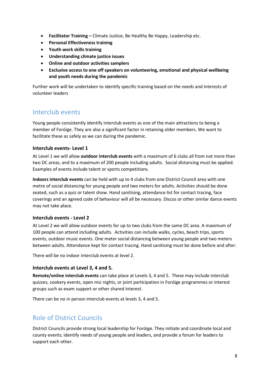- **Facilitator Training –** Climate Justice, Be Healthy Be Happy, Leadership etc.
- **Personal Effectiveness training**
- **Youth work skills training**
- **Understanding climate justice issues**
- **Online and outdoor activities samplers**
- **Exclusive access to one off speakers on volunteering, emotional and physical wellbeing and youth needs during the pandemic**

Further work will be undertaken to identify specific training based on the needs and interests of volunteer leaders

### <span id="page-8-0"></span>Interclub events

Young people consistently identify interclub events as one of the main attractions to being a member of Foróige. They are also a significant factor in retaining older members. We want to facilitate these as safely as we can during the pandemic.

### **Interclub events- Level 1**

At Level 1 we will allow **outdoor interclub events** with a maximum of 6 clubs all from not more than two DC areas, and to a maximum of 200 people including adults. Social distancing must be applied. Examples of events include talent or sports competitions.

**Indoors interclub events** can be held with up to 4 clubs from one District Council area with one metre of social distancing for young people and two meters for adults. Activities should be done seated, such as a quiz or talent show. Hand sanitising, attendance list for contact tracing, face coverings and an agreed code of behaviour will all be necessary. Discos or other similar dance events may not take place.

### **Interclub events - Level 2**

At Level 2 we will allow outdoor events for up to two clubs from the same DC area. A maximum of 100 people can attend including adults. Activities can include walks, cycles, beach trips, sports events, outdoor music events. One meter social distancing between young people and two meters between adults. Attendance kept for contact tracing. Hand sanitising must be done before and after.

There will be no indoor interclub events at level 2.

#### **Interclub events at Level 3, 4 and 5.**

**Remote/online interclub events** can take place at Levels 3, 4 and 5. These may include interclub quizzes, cookery events, open mic nights, or joint participation in Foróige programmes or interest groups such as exam support or other shared interest.

There can be no in person interclub events at levels 3, 4 and 5.

### <span id="page-8-1"></span>Role of District Councils

District Councils provide strong local leadership for Foróige. They initiate and coordinate local and county events; identify needs of young people and leaders, and provide a forum for leaders to support each other.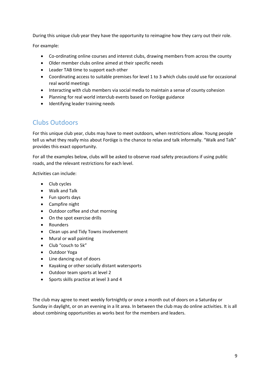During this unique club year they have the opportunity to reimagine how they carry out their role.

For example:

- Co-ordinating online courses and interest clubs, drawing members from across the county
- Older member clubs online aimed at their specific needs
- Leader TAB time to support each other
- Coordinating access to suitable premises for level 1 to 3 which clubs could use for occasional real world meetings
- Interacting with club members via social media to maintain a sense of county cohesion
- Planning for real world interclub events based on Foróige guidance
- Identifying leader training needs

### <span id="page-9-0"></span>Clubs Outdoors

For this unique club year, clubs may have to meet outdoors, when restrictions allow. Young people tell us what they really miss about Foróige is the chance to relax and talk informally. "Walk and Talk" provides this exact opportunity.

For all the examples below, clubs will be asked to observe road safety precautions if using public roads, and the relevant restrictions for each level.

Activities can include:

- Club cycles
- Walk and Talk
- Fun sports days
- Campfire night
- Outdoor coffee and chat morning
- On the spot exercise drills
- Rounders
- Clean ups and Tidy Towns involvement
- Mural or wall painting
- Club "couch to 5k"
- Outdoor Yoga
- Line dancing out of doors
- Kayaking or other socially distant watersports
- Outdoor team sports at level 2
- Sports skills practice at level 3 and 4

The club may agree to meet weekly fortnightly or once a month out of doors on a Saturday or Sunday in daylight, or on an evening in a lit area. In between the club may do online activities. It is all about combining opportunities as works best for the members and leaders.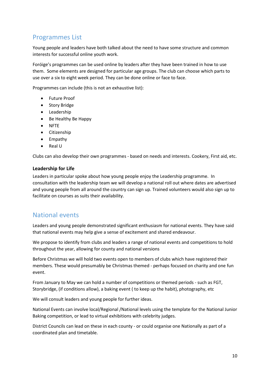# <span id="page-10-0"></span>Programmes List

Young people and leaders have both talked about the need to have some structure and common interests for successful online youth work.

Foróige's programmes can be used online by leaders after they have been trained in how to use them. Some elements are designed for particular age groups. The club can choose which parts to use over a six to eight week period. They can be done online or face to face.

Programmes can include (this is not an exhaustive list):

- Future Proof
- Story Bridge
- Leadership
- Be Healthy Be Happy
- NFTE
- Citizenship
- Empathy
- Real U

Clubs can also develop their own programmes - based on needs and interests. Cookery, First aid, etc.

### **Leadership for Life**

Leaders in particular spoke about how young people enjoy the Leadership programme. In consultation with the leadership team we will develop a national roll out where dates are advertised and young people from all around the country can sign up. Trained volunteers would also sign up to facilitate on courses as suits their availability.

### <span id="page-10-1"></span>National events

Leaders and young people demonstrated significant enthusiasm for national events. They have said that national events may help give a sense of excitement and shared endeavour.

We propose to identify from clubs and leaders a range of national events and competitions to hold throughout the year, allowing for county and national versions

Before Christmas we will hold two events open to members of clubs which have registered their members. These would presumably be Christmas themed - perhaps focused on charity and one fun event.

From January to May we can hold a number of competitions or themed periods - such as FGT, Storybridge, (if conditions allow), a baking event ( to keep up the habit), photography, etc

We will consult leaders and young people for further ideas.

National Events can involve local/Regional /National levels using the template for the National Junior Baking competition, or lead to virtual exhibitions with celebrity judges.

District Councils can lead on these in each county - or could organise one Nationally as part of a coordinated plan and timetable.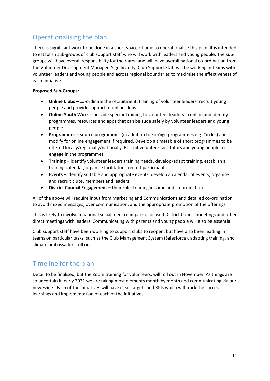# <span id="page-11-0"></span>Operationalising the plan

There is significant work to be done in a short space of time to operationalise this plan. It is intended to establish sub-groups of club support staff who will work with leaders and young people. The subgroups will have overall responsibility for their area and will have overall national co-ordination from the Volunteer Development Manager. Significantly, Club Support Staff will be working in teams with volunteer leaders and young people and across regional boundaries to maximise the effectiveness of each initiative.

### **Proposed Sub-Groups:**

- **Online Clubs** co-ordinate the recruitment, training of volunteer leaders, recruit young people and provide support to online clubs
- **Online Youth Work** provide specific training to volunteer leaders in online and identify programmes, resources and apps that can be sude safely by volunteer leaders and young people
- **Programmes** source programmes (in addition to Foróige programmes e.g. Circles) and modify for online engagement if required. Develop a timetable of short programmes to be offered locally/regionally/nationally. Recruit volunteer facilitators and young people to engage in the programmes
- **Training** identify volunteer leaders training needs, develop/adapt training, establish a training calendar, organise facilitators, recruit participants
- **Events** identify suitable and appropriate events, develop a calendar of events, organise and recruit clubs, members and leaders
- **District Council Engagement –** their role, training in same and co-ordination

All of the above will require input from Marketing and Communications and detailed co-ordination to avoid mixed messages, over communication, and the appropriate promotion of the offerings

This is likely to involve a national social media campaign, focused District Council meetings and other direct meetings with leaders. Communicating with parents and young people will also be essential

Club support staff have been working to support clubs to reopen, but have also been leading in teams on particular tasks, such as the Club Management System (Salesforce), adapting training, and climate ambassadors roll out.

# <span id="page-11-1"></span>Timeline for the plan

Detail to be finalised, but the Zoom training for volunteers, will roll out in November. As things are so uncertain in early 2021 we are taking most elements month by month and communicating via our new Ezine. Each of the initiatives will have clear targets and KPIs which will track the success, learnings and implementation of each of the initiatives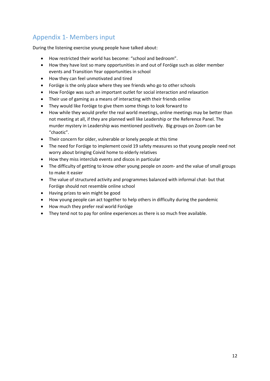# <span id="page-12-0"></span>Appendix 1- Members input

During the listening exercise young people have talked about:

- How restricted their world has become: "school and bedroom".
- How they have lost so many opportunities in and out of Foróige such as older member events and Transition Year opportunities in school
- How they can feel unmotivated and tired
- Foróige is the only place where they see friends who go to other schools
- How Foróige was such an important outlet for social interaction and relaxation
- Their use of gaming as a means of interacting with their friends online
- They would like Foróige to give them some things to look forward to
- How while they would prefer the real world meetings, online meetings may be better than not meeting at all, if they are planned well like Leadership or the Reference Panel. The murder mystery in Leadership was mentioned positively. Big groups on Zoom can be "chaotic".
- Their concern for older, vulnerable or lonely people at this time
- The need for Foróige to implement covid 19 safety measures so that young people need not worry about bringing Coivid home to elderly relatives
- How they miss interclub events and discos in particular
- The difficulty of getting to know other young people on zoom- and the value of small groups to make it easier
- The value of structured activity and programmes balanced with informal chat- but that Foróige should not resemble online school
- Having prizes to win might be good
- How young people can act together to help others in difficulty during the pandemic
- How much they prefer real world Foróige
- They tend not to pay for online experiences as there is so much free available.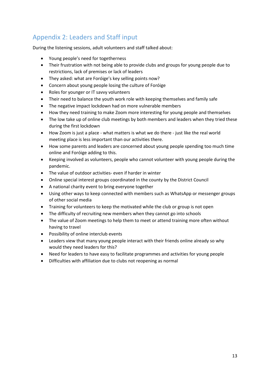# <span id="page-13-0"></span>Appendix 2: Leaders and Staff input

During the listening sessions, adult volunteers and staff talked about:

- Young people's need for togetherness
- Their frustration with not being able to provide clubs and groups for young people due to restrictions, lack of premises or lack of leaders
- They asked: what are Foróige's key selling points now?
- Concern about young people losing the culture of Foróige
- Roles for younger or IT savvy volunteers
- Their need to balance the youth work role with keeping themselves and family safe
- The negative impact lockdown had on more vulnerable members
- How they need training to make Zoom more interesting for young people and themselves
- The low take up of online club meetings by both members and leaders when they tried these during the first lockdown
- How Zoom is just a place what matters is what we do there just like the real world meeting place is less important than our activities there.
- How some parents and leaders are concerned about young people spending too much time online and Foróige adding to this.
- Keeping involved as volunteers, people who cannot volunteer with young people during the pandemic.
- The value of outdoor activities- even if harder in winter
- Online special interest groups coordinated in the county by the District Council
- A national charity event to bring everyone together
- Using other ways to keep connected with members such as WhatsApp or messenger groups of other social media
- Training for volunteers to keep the motivated while the club or group is not open
- The difficulty of recruiting new members when they cannot go into schools
- The value of Zoom meetings to help them to meet or attend training more often without having to travel
- Possibility of online interclub events
- Leaders view that many young people interact with their friends online already so why would they need leaders for this?
- Need for leaders to have easy to facilitate programmes and activities for young people
- Difficulties with affiliation due to clubs not reopening as normal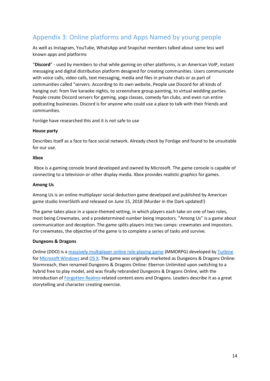# <span id="page-14-0"></span>Appendix 3: Online platforms and Apps Named by young people

As well as Instagram, YouTube, WhatsApp and Snapchat members talked about some less well known apps and platforms

"**Discord**" - used by members to chat while gaming on other platforms, is an American VoIP, instant messaging and digital distribution platform designed for creating communities. Users communicate with voice calls, video calls, text messaging, media and files in private chats or as part of communities called "servers. According to its own website, People use Discord for all kinds of hanging out: from live karaoke nights, to screenshare group painting, to virtual wedding parties. People create Discord servers for gaming, yoga classes, comedy fan clubs, and even run entire podcasting businesses. Discord is for anyone who could use a place to talk with their friends and communities.

Foróige have researched this and it is not safe to use

### **House party**

Describes itself as a face to face social network. Already check by Foróige and found to be unsuitable for our use.

### **Xbox**

Xbox is a gaming console brand developed and owned by Microsoft. The game console is capable of connecting to a television or other display media. Xbox provides realistic graphics for games.

### **Among Us**

Among Us is an online multiplayer social deduction game developed and published by American game studio InnerSloth and released on June 15, 2018 (Murder in the Dark updated!)

The game takes place in a space-themed setting, in which players each take on one of two roles, most being Crewmates, and a predetermined number being Impostors. "Among Us" is a game about communication and deception. The game splits players into two camps: crewmates and impostors. For crewmates, the objective of the game is to complete a series of tasks and survive.

### **Dungeons & Dragons**

Online (DDO) is a [massively multiplayer online role-playing game](https://en.wikipedia.org/wiki/Massively_multiplayer_online_role-playing_game) (MMORPG) developed by [Turbine](https://en.wikipedia.org/wiki/Turbine_(company)) fo[r Microsoft Windows](https://en.wikipedia.org/wiki/Microsoft_Windows) and [OS X.](https://en.wikipedia.org/wiki/OS_X) The game was originally marketed as Dungeons & Dragons Online: Stormreach, then renamed Dungeons & Dragons Online: Eberron Unlimited upon switching to a hybrid free to play model, and was finally rebranded Dungeons & Dragons Online, with the introduction of [Forgotten Realms-](https://en.wikipedia.org/wiki/Forgotten_Realms)related content.eons and Dragons. Leaders describe it as a great storytelling and character creating exercise.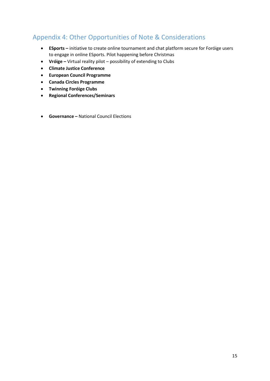# <span id="page-15-0"></span>Appendix 4: Other Opportunities of Note & Considerations

- **ESports –** initiative to create online tournament and chat platform secure for Foróige users to engage in online ESports. Pilot happening before Christmas
- **Vróige –** Virtual reality pilot possibility of extending to Clubs
- **Climate Justice Conference**
- **European Council Programme**
- **Canada Circles Programme**
- **Twinning Foróige Clubs**
- **Regional Conferences/Seminars**
- **Governance –** National Council Elections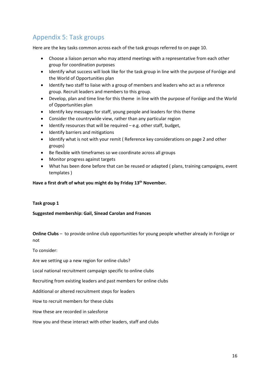# <span id="page-16-0"></span>Appendix 5: Task groups

Here are the key tasks common across each of the task groups referred to on page 10.

- Choose a liaison person who may attend meetings with a representative from each other group for coordination purposes
- Identify what success will look like for the task group in line with the purpose of Foróige and the World of Opportunities plan
- Identify two staff to liaise with a group of members and leaders who act as a reference group. Recruit leaders and members to this group.
- Develop, plan and time line for this theme in line with the purpose of Foróige and the World of Opportunities plan
- Identify key messages for staff, young people and leaders for this theme
- Consider the countrywide view, rather than any particular region
- Identify resources that will be required e.g. other staff, budget,
- Identify barriers and mitigations
- Identify what is not with your remit ( Reference key considerations on page 2 and other groups)
- Be flexible with timeframes so we coordinate across all groups
- Monitor progress against targets
- What has been done before that can be reused or adapted ( plans, training campaigns, event templates )

#### **Have a first draft of what you might do by Friday 13th November.**

#### **Task group 1**

**Suggested membership: Gail, Sinead Carolan and Frances** 

**Online Clubs** – to provide online club opportunities for young people whether already in Foróige or not

To consider:

Are we setting up a new region for online clubs?

Local national recruitment campaign specific to online clubs

Recruiting from existing leaders and past members for online clubs

Additional or altered recruitment steps for leaders

How to recruit members for these clubs

How these are recorded in salesforce

How you and these interact with other leaders, staff and clubs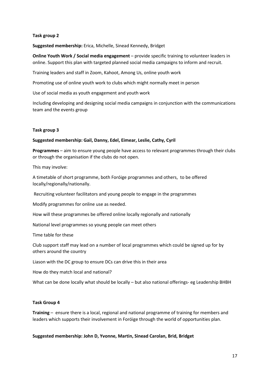### **Task group 2**

**Suggested membership:** Erica, Michelle, Sinead Kennedy, Bridget

**Online Youth Work / Social media engagement** – provide specific training to volunteer leaders in online. Support this plan with targeted planned social media campaigns to inform and recruit.

Training leaders and staff in Zoom, Kahoot, Among Us, online youth work

Promoting use of online youth work to clubs which might normally meet in person

Use of social media as youth engagement and youth work

Including developing and designing social media campaigns in conjunction with the communications team and the events group

#### **Task group 3**

#### **Suggested membership: Gail, Danny, Edel, Eimear, Leslie, Cathy, Cyril**

**Programmes** – aim to ensure young people have access to relevant programmes through their clubs or through the organisation if the clubs do not open.

This may involve:

A timetable of short programme, both Foróige programmes and others, to be offered locally/regionally/nationally.

Recruiting volunteer facilitators and young people to engage in the programmes

Modify programmes for online use as needed.

How will these programmes be offered online locally regionally and nationally

National level programmes so young people can meet others

Time table for these

Club support staff may lead on a number of local programmes which could be signed up for by others around the country

Liason with the DC group to ensure DCs can drive this in their area

How do they match local and national?

What can be done locally what should be locally – but also national offerings- eg Leadership BHBH

#### **Task Group 4**

**Training** – ensure there is a local, regional and national programme of training for members and leaders which supports their involvement in Foróige through the world of opportunities plan.

**Suggested membership: John D, Yvonne, Martin, Sinead Carolan, Brid, Bridget**